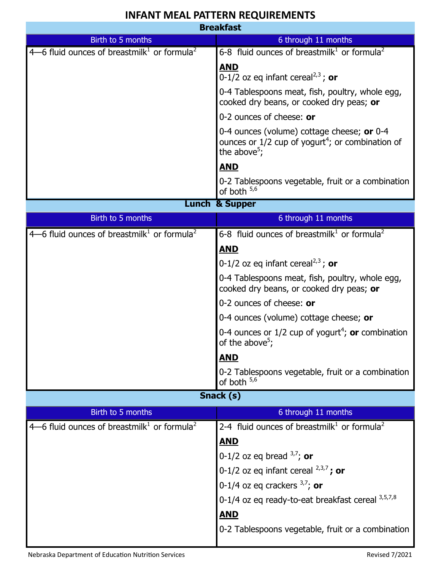## **INFANT MEAL PATTERN REQUIREMENTS**

| <b>Breakfast</b>                                                      |                                                                                                                                          |
|-----------------------------------------------------------------------|------------------------------------------------------------------------------------------------------------------------------------------|
| Birth to 5 months                                                     | 6 through 11 months                                                                                                                      |
| $4-6$ fluid ounces of breastmilk <sup>1</sup> or formula <sup>2</sup> | 6-8 fluid ounces of breastmilk <sup>1</sup> or formula <sup>2</sup>                                                                      |
|                                                                       | <b>AND</b><br>0-1/2 oz eq infant cereal <sup>2,3</sup> ; or                                                                              |
|                                                                       | 0-4 Tablespoons meat, fish, poultry, whole egg,<br>cooked dry beans, or cooked dry peas; or                                              |
|                                                                       | 0-2 ounces of cheese: or                                                                                                                 |
|                                                                       | 0-4 ounces (volume) cottage cheese; or 0-4<br>ounces or $1/2$ cup of yogurt <sup>4</sup> ; or combination of<br>the above <sup>5</sup> ; |
|                                                                       | <b>AND</b>                                                                                                                               |
|                                                                       | 0-2 Tablespoons vegetable, fruit or a combination<br>of both $5,6$                                                                       |
| <b>Lunch &amp; Supper</b>                                             |                                                                                                                                          |
| Birth to 5 months                                                     | 6 through 11 months                                                                                                                      |
| 4–6 fluid ounces of breastmilk <sup>1</sup> or formula <sup>2</sup>   | 6-8 fluid ounces of breastmilk <sup>1</sup> or formula <sup>2</sup>                                                                      |
|                                                                       | <b>AND</b>                                                                                                                               |
|                                                                       | 0-1/2 oz eq infant cereal <sup>2,3</sup> ; or                                                                                            |
|                                                                       | 0-4 Tablespoons meat, fish, poultry, whole egg,<br>cooked dry beans, or cooked dry peas; or                                              |
|                                                                       |                                                                                                                                          |
|                                                                       | 0-2 ounces of cheese: or                                                                                                                 |
|                                                                       | 0-4 ounces (volume) cottage cheese; or                                                                                                   |
|                                                                       | 0-4 ounces or $1/2$ cup of yogurt <sup>4</sup> ; or combination<br>of the above <sup>5</sup> ;                                           |
|                                                                       | <b>AND</b>                                                                                                                               |
|                                                                       | 0-2 Tablespoons vegetable, fruit or a combination<br>of both $5,6$                                                                       |
|                                                                       | Snack (s)                                                                                                                                |
| Birth to 5 months                                                     | 6 through 11 months                                                                                                                      |
| 4–6 fluid ounces of breastmilk <sup>1</sup> or formula <sup>2</sup>   | 2-4 fluid ounces of breastmilk <sup>1</sup> or formula <sup>2</sup>                                                                      |
|                                                                       | <u>AND</u>                                                                                                                               |
|                                                                       | 0-1/2 oz eq bread $3,7$ ; or                                                                                                             |
|                                                                       | 0-1/2 oz eq infant cereal $^{2,3,7}$ ; or                                                                                                |
|                                                                       | 0-1/4 oz eq crackers $3,7$ ; or                                                                                                          |
|                                                                       | 0-1/4 oz eq ready-to-eat breakfast cereal 3,5,7,8                                                                                        |
|                                                                       | <b>AND</b>                                                                                                                               |